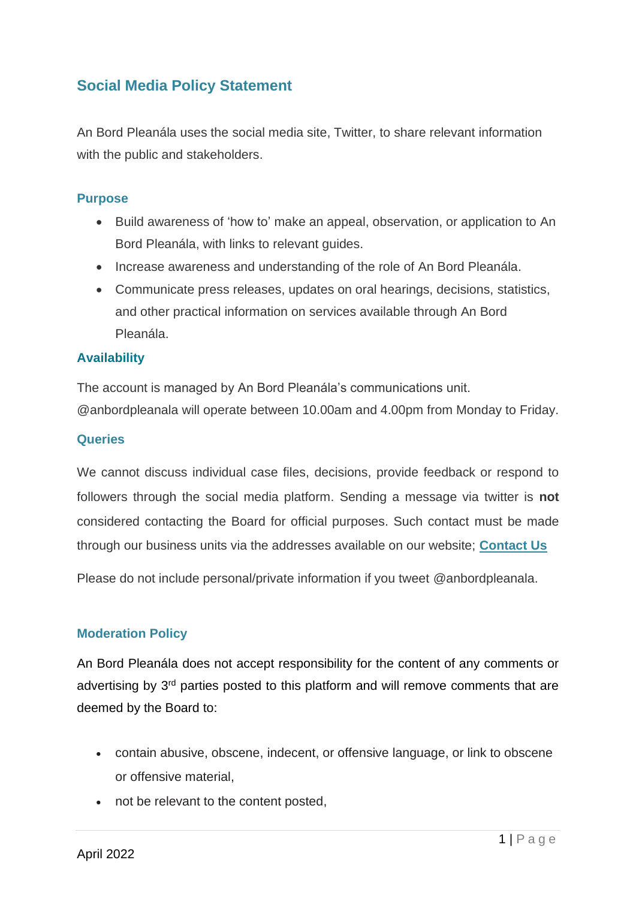# **Social Media Policy Statement**

An Bord Pleanála uses the social media site, Twitter, to share relevant information with the public and stakeholders.

### **Purpose**

- Build awareness of 'how to' make an appeal, observation, or application to An Bord Pleanála, with links to relevant guides.
- Increase awareness and understanding of the role of An Bord Pleanála.
- Communicate press releases, updates on oral hearings, decisions, statistics, and other practical information on services available through An Bord Pleanála.

#### **Availability**

The account is managed by An Bord Pleanála's communications unit. @anbordpleanala will operate between 10.00am and 4.00pm from Monday to Friday.

#### **Queries**

We cannot discuss individual case files, decisions, provide feedback or respond to followers through the social media platform. Sending a message via twitter is **not** considered contacting the Board for official purposes. Such contact must be made through our business units via the addresses available on our website; **[Contact Us](https://www.pleanala.ie/en-ie/contact)**

Please do not include personal/private information if you tweet @anbordpleanala.

#### **Moderation Policy**

An Bord Pleanála does not accept responsibility for the content of any comments or advertising by 3<sup>rd</sup> parties posted to this platform and will remove comments that are deemed by the Board to:

- contain abusive, obscene, indecent, or offensive language, or link to obscene or offensive material,
- not be relevant to the content posted,